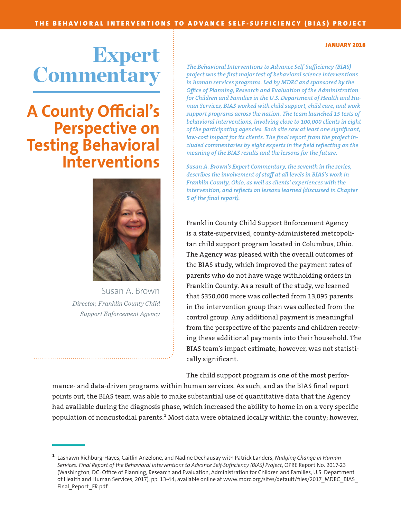## Expert **Commentary**

## **A County Official's Perspective on Testing Behavioral Interventions**



Susan A. Brown *Director, Franklin County Child Support Enforcement Agency*

*The Behavioral Interventions to Advance Self-Sufficiency (BIAS) project was the first major test of behavioral science interventions in human services programs. Led by MDRC and sponsored by the Office of Planning, Research and Evaluation of the Administration for Children and Families in the U.S. Department of Health and Human Services, BIAS worked with child support, child care, and work support programs across the nation. The team launched 15 tests of behavioral interventions, involving close to 100,000 clients in eight of the participating agencies. Each site saw at least one significant, low-cost impact for its clients. The final report from the project included commentaries by eight experts in the field reflecting on the meaning of the BIAS results and the lessons for the future.*

*Susan A. Brown's Expert Commentary, the seventh in the series, describes the involvement of staff at all levels in BIAS's work in Franklin County, Ohio, as well as clients' experiences with the intervention, and reflects on lessons learned (discussed in Chapter 5 of the [final report\)](https://www.mdrc.org/publication/nudging-change-human-services).*

Franklin County Child Support Enforcement Agency is a state-supervised, county-administered metropolitan child support program located in Columbus, Ohio. The Agency was pleased with the overall outcomes of the BIAS study, which improved the payment rates of parents who do not have wage withholding orders in Franklin County. As a result of the study, we learned that \$350,000 more was collected from 13,095 parents in the intervention group than was collected from the control group. Any additional payment is meaningful from the perspective of the parents and children receiving these additional payments into their household. The BIAS team's impact estimate, however, was not statistically significant.

The child support program is one of the most perfor-

mance- and data-driven programs within human services. As such, and as the BIAS final report points out, the BIAS team was able to make substantial use of quantitative data that the Agency had available during the diagnosis phase, which increased the ability to home in on a very specific population of noncustodial parents.**<sup>1</sup>** Most data were obtained locally within the county; however,

## JANUARY 2018

**<sup>1</sup>**Lashawn Richburg-Hayes, Caitlin Anzelone, and Nadine Dechausay with Patrick Landers, *Nudging Change in Human Services: Final Report of the Behavioral Interventions to Advance Self-Sufficiency (BIAS) Project*, OPRE Report No. 2017-23 (Washington, DC: Office of Planning, Research and Evaluation, Administration for Children and Families, U.S. Department of Health and Human Services, 2017), pp. 13-44; available online at www.mdrc.org/sites/default/files/2017 MDRC\_BIAS Final\_Report\_FR.pdf.